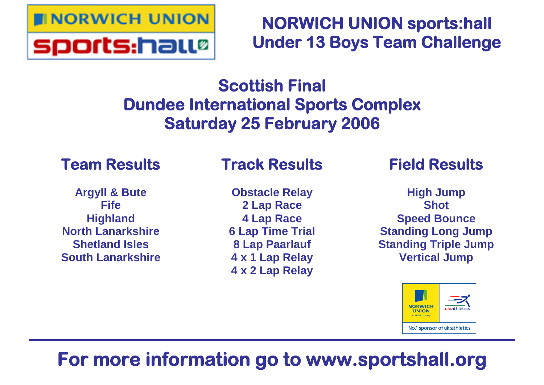

# **NORWICH UNION sports:hall Under 13 Boys Team Challenge**

## **Scottish Final Dundee International Sports Complex Saturday 25 February 2006**

## **Team Results**

### **Argyll & Bute Fife Highland North Lanarkshire Shetland Isles South Lanarkshire**

## **Track Results**

**Obstacle Relay 2 Lap Race 4 Lap Race 6 Lap Time Trial 8 Lap Paarlauf 4 x 1 Lap Relay 4 x 2 Lap Relay**

## **Field Results**

**High Jump Shot Speed Bounce Standing Long Jump Standing Triple Jump Vertical Jump**



# **For more information go to www.sportshall.org**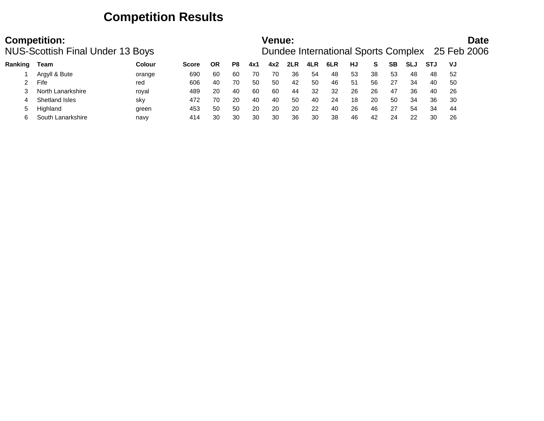### **Competition Results**

|         | <b>Competition:</b><br><b>NUS-Scottish Final Under 13 Boys</b> |        |              |    |    |     | Venue: |     |     |     |    |    |    |            |            |     | <b>Date</b><br>Dundee International Sports Complex 25 Feb 2006 |
|---------|----------------------------------------------------------------|--------|--------------|----|----|-----|--------|-----|-----|-----|----|----|----|------------|------------|-----|----------------------------------------------------------------|
| Ranking | Team                                                           | Colour | <b>Score</b> | ΟR | P8 | 4x1 | 4x2    | 2LR | 4LR | 6LR | HJ | S  | SВ | <b>SLJ</b> | <b>STJ</b> | VJ  |                                                                |
|         | Argyll & Bute                                                  | orange | 690          | 60 | 60 | 70  | 70     | 36  | 54  | 48  | 53 | 38 | 53 | 48         | 48         | -52 |                                                                |
|         | Fife                                                           | red    | 606          | 40 | 70 | 50  | 50     | 42  | 50  | 46  | 51 | 56 | 27 | 34         | 40         | 50  |                                                                |
|         | North Lanarkshire                                              | roval  | 489          | 20 | 40 | 60  | 60     | 44  | 32  | 32  | 26 | 26 | 47 | 36         | 40         | 26  |                                                                |
|         | Shetland Isles                                                 | sky    | 472          | 70 | 20 | 40  | 40     | 50  | 40  | 24  | 18 | 20 | 50 | 34         | 36         | 30  |                                                                |
|         | Highland                                                       | green  | 453          | 50 | 50 | 20  | 20     | 20  | 22  | 40  | 26 | 46 | 27 | 54         | 34         | 44  |                                                                |
|         | South Lanarkshire                                              | navy   | 414          | 30 | 30 | 30  | 30     | 36  | 30  | 38  | 46 | 42 | 24 | 22         | 30         | -26 |                                                                |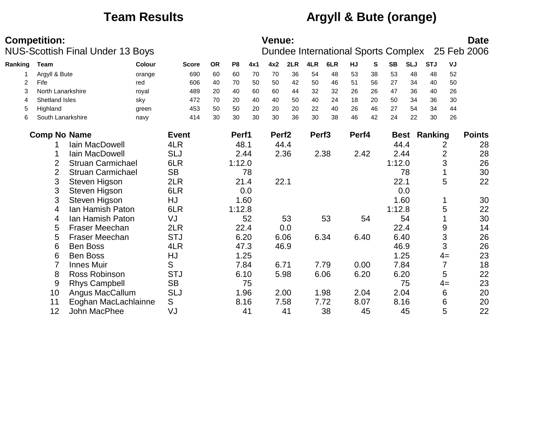## **Team Results Argyll & Bute (orange)**

|         | <b>Competition:</b> |                                         |        |              |           |                |      | Venue:            |      |                   |                                     |       |    |           |            |                     |                | <b>Date</b>   |
|---------|---------------------|-----------------------------------------|--------|--------------|-----------|----------------|------|-------------------|------|-------------------|-------------------------------------|-------|----|-----------|------------|---------------------|----------------|---------------|
|         |                     | <b>NUS-Scottish Final Under 13 Boys</b> |        |              |           |                |      |                   |      |                   | Dundee International Sports Complex |       |    |           |            |                     |                | 25 Feb 2006   |
| Ranking | Team                |                                         | Colour | <b>Score</b> | <b>OR</b> | P <sub>8</sub> | 4x1  | 4x2               | 2LR  | 4LR               | 6LR                                 | HJ    | S  | <b>SB</b> | <b>SLJ</b> | <b>STJ</b>          | VJ             |               |
|         | Argyll & Bute       |                                         | orange | 690          | 60        | 60             | 70   | 70                | 36   | 54                | 48                                  | 53    | 38 | 53        | 48         | 48                  | 52             |               |
| 2       | Fife                |                                         | red    | 606          | 40        | 70             | 50   | 50                | 42   | 50                | 46                                  | 51    | 56 | 27        | 34         | 40                  | 50             |               |
| 3       | North Lanarkshire   |                                         | royal  | 489          | 20        | 40             | 60   | 60                | 44   | 32                | 32                                  | 26    | 26 | 47        | 36         | 40                  | 26             |               |
| 4       | Shetland Isles      |                                         | sky    | 472          | 70        | 20             | 40   | 40                | 50   | 40                | 24                                  | 18    | 20 | 50        | 34         | 36                  | 30             |               |
| 5       | Highland            |                                         | green  | 453          | 50        | 50             | 20   | 20                | 20   | 22                | 40                                  | 26    | 46 | 27        | 54         | 34                  | 44             |               |
| 6       | South Lanarkshire   |                                         | navy   | 414          | 30        | 30             | 30   | 30                | 36   | 30                | 38                                  | 46    | 42 | 24        | 22         | 30                  | 26             |               |
|         | <b>Comp No Name</b> |                                         |        | <b>Event</b> |           | Perf1          |      | Perf <sub>2</sub> |      | Perf <sub>3</sub> |                                     | Perf4 |    |           |            | <b>Best Ranking</b> |                | <b>Points</b> |
|         |                     | <b>lain MacDowell</b>                   |        | 4LR          |           | 48.1           |      | 44.4              |      |                   |                                     |       |    | 44.4      |            |                     | 2              | 28            |
|         |                     | Iain MacDowell                          |        | <b>SLJ</b>   |           |                | 2.44 |                   | 2.36 |                   | 2.38                                | 2.42  |    | 2.44      |            |                     | $\overline{2}$ | 28            |
|         | $\overline{2}$      | <b>Struan Carmichael</b>                |        | 6LR          |           | 1:12.0         |      |                   |      |                   |                                     |       |    | 1:12.0    |            |                     | 3              | 26            |
|         | $\overline{2}$      | <b>Struan Carmichael</b>                |        | <b>SB</b>    |           |                | 78   |                   |      |                   |                                     |       |    |           | 78         |                     |                | 30            |
|         | 3                   | Steven Higson                           |        | 2LR          |           |                | 21.4 | 22.1              |      |                   |                                     |       |    | 22.1      |            |                     | 5              | 22            |
|         | 3                   | Steven Higson                           |        | 6LR          |           |                | 0.0  |                   |      |                   |                                     |       |    |           | 0.0        |                     |                |               |
|         | 3                   | Steven Higson                           |        | HJ           |           |                | 1.60 |                   |      |                   |                                     |       |    | 1.60      |            |                     |                | 30            |
|         | 4                   | Ian Hamish Paton                        |        | 6LR          |           | 1:12.8         |      |                   |      |                   |                                     |       |    | 1:12.8    |            |                     | 5              | 22            |
|         | 4                   | Ian Hamish Paton                        |        | VJ           |           |                | 52   |                   | 53   |                   | 53                                  |       | 54 |           | 54         |                     |                | 30            |
|         | 5                   | <b>Fraser Meechan</b>                   |        | 2LR          |           |                | 22.4 |                   | 0.0  |                   |                                     |       |    | 22.4      |            |                     | 9              | 14            |
|         | $\overline{5}$      | <b>Fraser Meechan</b>                   |        | <b>STJ</b>   |           |                | 6.20 |                   | 6.06 |                   | 6.34                                | 6.40  |    | 6.40      |            |                     | 3              | 26            |
|         | 6                   | <b>Ben Boss</b>                         |        | 4LR          |           | 47.3           |      |                   | 46.9 |                   |                                     |       |    | 46.9      |            |                     | 3              | 26            |
|         | 6                   | <b>Ben Boss</b>                         |        | HJ           |           |                | 1.25 |                   |      |                   |                                     |       |    |           | 1.25       |                     | $4=$           | 23            |
|         |                     | <b>Innes Muir</b>                       |        | S            |           |                | 7.84 | 6.71              |      |                   | 7.79                                | 0.00  |    | 7.84      |            |                     | $\overline{7}$ | 18            |
|         | 8                   | Ross Robinson                           |        | <b>STJ</b>   |           |                | 6.10 |                   | 5.98 |                   | 6.06                                | 6.20  |    | 6.20      |            |                     | 5              | 22            |
|         | 9                   | <b>Rhys Campbell</b>                    |        | <b>SB</b>    |           |                | 75   |                   |      |                   |                                     |       |    |           | 75         |                     | $4=$           | 23            |
|         | 10                  | Angus MacCallum                         |        | <b>SLJ</b>   |           |                | 1.96 | 2.00              |      |                   | 1.98                                | 2.04  |    | 2.04      |            |                     | 6              | 20            |
|         | 11                  | Eoghan MacLachlainne                    |        | S            |           | 8.16           |      |                   | 7.58 |                   | 7.72                                | 8.07  |    | 8.16      |            |                     | 6              | 20            |
|         | 12                  | <b>John MacPhee</b>                     |        | VJ           |           |                | 41   |                   | 41   |                   | 38                                  |       | 45 |           | 45         |                     | 5              | 22            |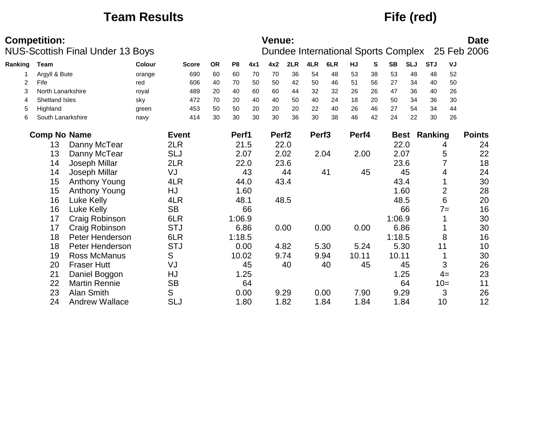## **Team Results Fife (red)**

|         | <b>Competition:</b> | <b>NUS-Scottish Final Under 13 Boys</b> |               |              |           |                |      | Venue:            |      |                   | Dundee International Sports Complex |       |    |           |            |                     |                | <b>Date</b><br>25 Feb 2006 |
|---------|---------------------|-----------------------------------------|---------------|--------------|-----------|----------------|------|-------------------|------|-------------------|-------------------------------------|-------|----|-----------|------------|---------------------|----------------|----------------------------|
| Ranking | Team                |                                         | <b>Colour</b> | <b>Score</b> | <b>OR</b> | P <sub>8</sub> | 4x1  | 4x2               | 2LR  | 4LR               | 6LR                                 | HJ    | S  | <b>SB</b> | <b>SLJ</b> | <b>STJ</b>          | VJ             |                            |
|         | Argyll & Bute       |                                         | orange        | 690          | 60        | 60             | 70   | 70                | 36   | 54                | 48                                  | 53    | 38 | 53        | 48         | 48                  | 52             |                            |
| 2       | Fife                |                                         | red           | 606          | 40        | 70             | 50   | 50                | 42   | 50                | 46                                  | 51    | 56 | 27        | 34         | 40                  | 50             |                            |
| 3       | North Lanarkshire   |                                         | royal         | 489          | 20        | 40             | 60   | 60                | 44   | 32                | 32                                  | 26    | 26 | 47        | 36         | 40                  | 26             |                            |
| 4       | Shetland Isles      |                                         | sky           | 472          | 70        | 20             | 40   | 40                | 50   | 40                | 24                                  | 18    | 20 | 50        | 34         | 36                  | 30             |                            |
| 5       | Highland            |                                         | green         | 453          | 50        | 50             | 20   | 20                | 20   | 22                | 40                                  | 26    | 46 | 27        | 54         | 34                  | 44             |                            |
| 6       | South Lanarkshire   |                                         | navy          | 414          | 30        | 30             | 30   | 30                | 36   | 30                | 38                                  | 46    | 42 | 24        | 22         | 30                  | 26             |                            |
|         | <b>Comp No Name</b> |                                         |               | <b>Event</b> |           | Perf1          |      | Perf <sub>2</sub> |      | Perf <sub>3</sub> |                                     | Perf4 |    |           |            | <b>Best Ranking</b> |                | <b>Points</b>              |
|         | 13                  | Danny McTear                            |               | 2LR          |           |                | 21.5 |                   | 22.0 |                   |                                     |       |    |           | 22.0       |                     | 4              | 24                         |
|         | 13                  | Danny McTear                            |               | <b>SLJ</b>   |           |                | 2.07 |                   | 2.02 |                   | 2.04                                | 2.00  |    | 2.07      |            |                     | 5              | 22                         |
|         | 14                  | Joseph Millar                           |               | 2LR          |           |                | 22.0 |                   | 23.6 |                   |                                     |       |    |           | 23.6       |                     |                | 18                         |
|         | 14                  | Joseph Millar                           |               | VJ           |           |                | 43   |                   | 44   |                   | 41                                  |       | 45 |           | 45         |                     | 4              | 24                         |
|         | 15                  | <b>Anthony Young</b>                    |               | 4LR          |           |                | 44.0 |                   | 43.4 |                   |                                     |       |    | 43.4      |            |                     |                | 30                         |
|         | 15                  | Anthony Young                           |               | HJ           |           |                | 1.60 |                   |      |                   |                                     |       |    |           | 1.60       |                     | $\overline{2}$ | 28                         |
|         | 16                  | Luke Kelly                              |               | 4LR          |           | 48.1           |      |                   | 48.5 |                   |                                     |       |    | 48.5      |            |                     | 6              | 20                         |
|         | 16                  | Luke Kelly                              |               | <b>SB</b>    |           |                | 66   |                   |      |                   |                                     |       |    |           | 66         |                     | $7 =$          | 16                         |
|         | 17                  | Craig Robinson                          |               | 6LR          |           | 1:06.9         |      |                   |      |                   |                                     |       |    | 1:06.9    |            |                     |                | 30                         |
|         | 17                  | Craig Robinson                          |               | <b>STJ</b>   |           |                | 6.86 |                   | 0.00 |                   | 0.00                                | 0.00  |    | 6.86      |            |                     |                | 30                         |
|         | 18                  | Peter Henderson                         |               | 6LR          |           | 1:18.5         |      |                   |      |                   |                                     |       |    | 1:18.5    |            |                     | 8              | 16                         |
|         | 18                  | Peter Henderson                         |               | <b>STJ</b>   |           |                | 0.00 |                   | 4.82 |                   | 5.30                                | 5.24  |    |           | 5.30       | 11                  |                | 10                         |
|         | 19                  | <b>Ross McManus</b>                     |               | S            |           | 10.02          |      |                   | 9.74 |                   | 9.94                                | 10.11 |    | 10.11     |            |                     |                | 30                         |
|         | 20                  | <b>Fraser Hutt</b>                      |               | VJ           |           |                | 45   |                   | 40   |                   | 40                                  |       | 45 |           | 45         |                     | 3              | 26                         |
|         | 21                  | Daniel Boggon                           |               | HJ           |           |                | 1.25 |                   |      |                   |                                     |       |    |           | 1.25       |                     | $4=$           | 23                         |
|         | 22                  | <b>Martin Rennie</b>                    |               | <b>SB</b>    |           |                | 64   |                   |      |                   |                                     |       |    |           | 64         |                     | $10=$          | 11                         |
|         | 23                  | <b>Alan Smith</b>                       |               | S            |           |                | 0.00 |                   | 9.29 |                   | 0.00                                | 7.90  |    | 9.29      |            |                     | 3              | 26                         |
|         | 24                  | <b>Andrew Wallace</b>                   |               | <b>SLJ</b>   |           |                | 1.80 |                   | 1.82 |                   | 1.84                                | 1.84  |    |           | 1.84       | 10                  |                | 12                         |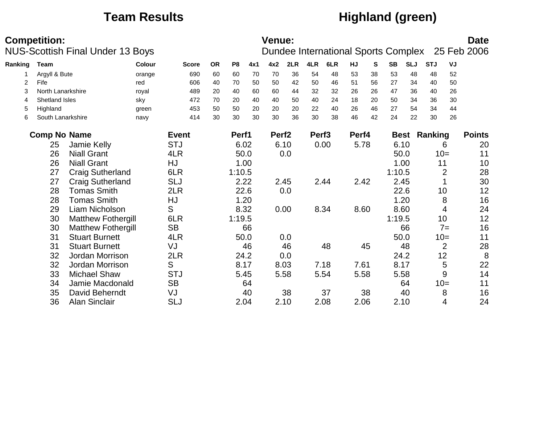## **Team Results Highland (green)**

|         | <b>Competition:</b> | <b>NUS-Scottish Final Under 13 Boys</b> |               |              |           |                |      | <b>Venue:</b>     |      |                   | Dundee International Sports Complex |           |    |           |             |            |                | <b>Date</b><br>25 Feb 2006 |
|---------|---------------------|-----------------------------------------|---------------|--------------|-----------|----------------|------|-------------------|------|-------------------|-------------------------------------|-----------|----|-----------|-------------|------------|----------------|----------------------------|
| Ranking | <b>Team</b>         |                                         | <b>Colour</b> | <b>Score</b> | <b>OR</b> | P <sub>8</sub> | 4x1  | 4x2               | 2LR  | 4LR               | 6LR                                 | <b>HJ</b> | S  | <b>SB</b> | <b>SLJ</b>  | <b>STJ</b> | VJ             |                            |
|         | Argyll & Bute       |                                         | orange        | 690          | 60        | 60             | 70   | 70                | 36   | 54                | 48                                  | 53        | 38 | 53        | 48          | 48         | 52             |                            |
| 2       | Fife                |                                         | red           | 606          | 40        | 70             | 50   | 50                | 42   | 50                | 46                                  | 51        | 56 | 27        | 34          | 40         | 50             |                            |
| 3       | North Lanarkshire   |                                         | royal         | 489          | 20        | 40             | 60   | 60                | 44   | 32                | 32                                  | 26        | 26 | 47        | 36          | 40         | 26             |                            |
| 4       | Shetland Isles      |                                         | sky           | 472          | 70        | 20             | 40   | 40                | 50   | 40                | 24                                  | 18        | 20 | 50        | 34          | 36         | 30             |                            |
| 5       | Highland            |                                         | green         | 453          | 50        | 50             | 20   | 20                | 20   | 22                | 40                                  | 26        | 46 | 27        | 54          | 34         | 44             |                            |
| 6       | South Lanarkshire   |                                         | navy          | 414          | 30        | 30             | 30   | 30                | 36   | 30                | 38                                  | 46        | 42 | 24        | 22          | 30         | 26             |                            |
|         | <b>Comp No Name</b> |                                         |               | <b>Event</b> |           | Perf1          |      | Perf <sub>2</sub> |      | Perf <sub>3</sub> |                                     | Perf4     |    |           | <b>Best</b> | Ranking    |                | <b>Points</b>              |
|         | 25                  | Jamie Kelly                             |               | <b>STJ</b>   |           | 6.02           |      |                   | 6.10 |                   | 0.00                                | 5.78      |    | 6.10      |             |            | 6              | 20                         |
|         | 26                  | <b>Niall Grant</b>                      |               | 4LR          |           |                | 50.0 |                   | 0.0  |                   |                                     |           |    |           | 50.0        |            | $10=$          | 11                         |
|         | 26                  | <b>Niall Grant</b>                      |               | HJ           |           |                | 1.00 |                   |      |                   |                                     |           |    |           | 1.00        | 11         |                | 10                         |
|         | 27                  | <b>Craig Sutherland</b>                 |               | 6LR          |           | 1:10.5         |      |                   |      |                   |                                     |           |    | 1:10.5    |             |            | $\overline{2}$ | 28                         |
|         | 27                  | <b>Craig Sutherland</b>                 |               | <b>SLJ</b>   |           | 2.22           |      |                   | 2.45 |                   | 2.44                                | 2.42      |    | 2.45      |             |            |                | 30                         |
|         | 28                  | <b>Tomas Smith</b>                      |               | 2LR          |           |                | 22.6 |                   | 0.0  |                   |                                     |           |    |           | 22.6        |            | 10             | 12                         |
|         | 28                  | <b>Tomas Smith</b>                      |               | HJ           |           |                | 1.20 |                   |      |                   |                                     |           |    |           | 1.20        |            | 8              | 16                         |
|         | 29                  | Liam Nicholson                          |               | S            |           |                | 8.32 |                   | 0.00 |                   | 8.34                                | 8.60      |    |           | 8.60        |            | 4              | 24                         |
|         | 30                  | <b>Matthew Fothergill</b>               |               | 6LR          |           | 1:19.5         |      |                   |      |                   |                                     |           |    | 1:19.5    |             |            | 10             | 12                         |
|         | 30                  | <b>Matthew Fothergill</b>               |               | <b>SB</b>    |           |                | 66   |                   |      |                   |                                     |           |    |           | 66          |            | $7=$           | 16                         |
|         | 31                  | <b>Stuart Burnett</b>                   |               | 4LR          |           |                | 50.0 |                   | 0.0  |                   |                                     |           |    |           | 50.0        |            | $10=$          | 11                         |
|         | 31                  | <b>Stuart Burnett</b>                   |               | VJ           |           |                | 46   |                   | 46   |                   | 48                                  |           | 45 |           | 48          |            | $\overline{2}$ | 28                         |
|         | 32                  | Jordan Morrison                         |               | 2LR          |           |                | 24.2 |                   | 0.0  |                   |                                     |           |    |           | 24.2        |            | 12             | 8                          |
|         | 32                  | Jordan Morrison                         |               | S            |           | 8.17           |      |                   | 8.03 |                   | 7.18                                | 7.61      |    | 8.17      |             |            | 5              | 22                         |
|         | 33                  | <b>Michael Shaw</b>                     |               | <b>STJ</b>   |           |                | 5.45 |                   | 5.58 |                   | 5.54                                | 5.58      |    |           | 5.58        |            | 9              | 14                         |
|         | 34                  | Jamie Macdonald                         |               | <b>SB</b>    |           |                | 64   |                   |      |                   |                                     |           |    |           | 64          |            | $10=$          | 11                         |
|         | 35                  | David Beherndt                          |               | VJ           |           |                | 40   |                   | 38   |                   | 37                                  |           | 38 |           | 40          |            | 8              | 16                         |
|         | 36                  | Alan Sinclair                           |               | <b>SLJ</b>   |           |                | 2.04 |                   | 2.10 |                   | 2.08                                | 2.06      |    | 2.10      |             |            | 4              | 24                         |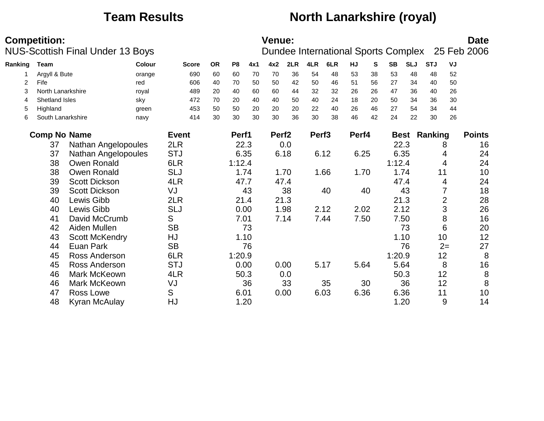## **Team Results North Lanarkshire (royal)**

|         | <b>Competition:</b> |                                         |               |              |           |                |      | <b>Venue:</b>     |      |                   |      |       |    |           |            |                     |                | <b>Date</b>                                     |
|---------|---------------------|-----------------------------------------|---------------|--------------|-----------|----------------|------|-------------------|------|-------------------|------|-------|----|-----------|------------|---------------------|----------------|-------------------------------------------------|
|         |                     | <b>NUS-Scottish Final Under 13 Boys</b> |               |              |           |                |      |                   |      |                   |      |       |    |           |            |                     |                | Dundee International Sports Complex 25 Feb 2006 |
| Ranking | Team                |                                         | <b>Colour</b> | <b>Score</b> | <b>OR</b> | P <sub>8</sub> | 4x1  | 4x2               | 2LR  | 4LR               | 6LR  | HJ    | S  | <b>SB</b> | <b>SLJ</b> | <b>STJ</b>          | VJ             |                                                 |
|         | Argyll & Bute       |                                         | orange        | 690          | 60        | 60             | 70   | 70                | 36   | 54                | 48   | 53    | 38 | 53        | 48         | 48                  | 52             |                                                 |
| 2       | Fife                |                                         | red           | 606          | 40        | 70             | 50   | 50                | 42   | 50                | 46   | 51    | 56 | 27        | 34         | 40                  | 50             |                                                 |
| 3       | North Lanarkshire   |                                         | royal         | 489          | 20        | 40             | 60   | 60                | 44   | 32                | 32   | 26    | 26 | 47        | 36         | 40                  | 26             |                                                 |
| 4       | Shetland Isles      |                                         | sky           | 472          | 70        | 20             | 40   | 40                | 50   | 40                | 24   | 18    | 20 | 50        | 34         | 36                  | 30             |                                                 |
| 5       | Highland            |                                         | green         | 453          | 50        | 50             | 20   | 20                | 20   | 22                | 40   | 26    | 46 | 27        | 54         | 34                  | 44             |                                                 |
| 6       | South Lanarkshire   |                                         | navy          | 414          | 30        | 30             | 30   | 30                | 36   | 30                | 38   | 46    | 42 | 24        | 22         | 30                  | 26             |                                                 |
|         | <b>Comp No Name</b> |                                         |               | <b>Event</b> |           | Perf1          |      | Perf <sub>2</sub> |      | Perf <sub>3</sub> |      | Perf4 |    |           |            | <b>Best Ranking</b> |                | <b>Points</b>                                   |
|         | 37                  | Nathan Angelopoules                     |               | 2LR          |           |                | 22.3 |                   | 0.0  |                   |      |       |    |           | 22.3       |                     | 8              | 16                                              |
|         | 37                  | Nathan Angelopoules                     |               | <b>STJ</b>   |           |                | 6.35 |                   | 6.18 |                   | 6.12 | 6.25  |    |           | 6.35       |                     | 4              | 24                                              |
|         | 38                  | Owen Ronald                             |               | 6LR          |           | 1:12.4         |      |                   |      |                   |      |       |    | 1:12.4    |            |                     | 4              | 24                                              |
|         | 38                  | <b>Owen Ronald</b>                      |               | <b>SLJ</b>   |           |                | 1.74 |                   | 1.70 |                   | 1.66 | 1.70  |    |           | 1.74       | 11                  |                | 10                                              |
|         | 39                  | <b>Scott Dickson</b>                    |               | 4LR          |           | 47.7           |      |                   | 47.4 |                   |      |       |    | 47.4      |            |                     | 4              | 24                                              |
|         | 39                  | <b>Scott Dickson</b>                    |               | VJ           |           |                | 43   |                   | 38   |                   | 40   |       | 40 |           | 43         |                     | 7              | 18                                              |
|         | 40                  | Lewis Gibb                              |               | 2LR          |           |                | 21.4 |                   | 21.3 |                   |      |       |    |           | 21.3       |                     | $\overline{2}$ | 28                                              |
|         | 40                  | Lewis Gibb                              |               | <b>SLJ</b>   |           |                | 0.00 |                   | 1.98 |                   | 2.12 | 2.02  |    |           | 2.12       |                     | 3              | 26                                              |
|         | 41                  | David McCrumb                           |               | S            |           |                | 7.01 |                   | 7.14 |                   | 7.44 | 7.50  |    |           | 7.50       |                     | 8              | 16                                              |
|         | 42                  | Aiden Mullen                            |               | <b>SB</b>    |           |                | 73   |                   |      |                   |      |       |    |           | 73         |                     | 6              | 20                                              |
|         | 43                  | <b>Scott McKendry</b>                   |               | HJ           |           |                | 1.10 |                   |      |                   |      |       |    |           | 1.10       | 10                  |                | 12                                              |
|         | 44                  | Euan Park                               |               | <b>SB</b>    |           |                | 76   |                   |      |                   |      |       |    |           | 76         |                     | $2=$           | 27                                              |
|         | 45                  | <b>Ross Anderson</b>                    |               | 6LR          |           | 1:20.9         |      |                   |      |                   |      |       |    | 1:20.9    |            | 12                  |                | 8                                               |
|         | 45                  | Ross Anderson                           |               | <b>STJ</b>   |           | 0.00           |      |                   | 0.00 |                   | 5.17 | 5.64  |    | 5.64      |            |                     | 8              | 16                                              |
|         | 46                  | Mark McKeown                            |               | 4LR          |           |                | 50.3 |                   | 0.0  |                   |      |       |    |           | 50.3       | 12                  |                | $\, 8$                                          |
|         | 46                  | <b>Mark McKeown</b>                     |               | VJ           |           |                | 36   |                   | 33   |                   | 35   |       | 30 |           | 36         | 12                  |                | 8                                               |
|         | 47                  | Ross Lowe                               |               | S            |           | 6.01           |      |                   | 0.00 |                   | 6.03 | 6.36  |    |           | 6.36       | 11                  |                | 10                                              |
|         | 48                  | Kyran McAulay                           |               | HJ           |           |                | 1.20 |                   |      |                   |      |       |    |           | 1.20       |                     | 9              | 14                                              |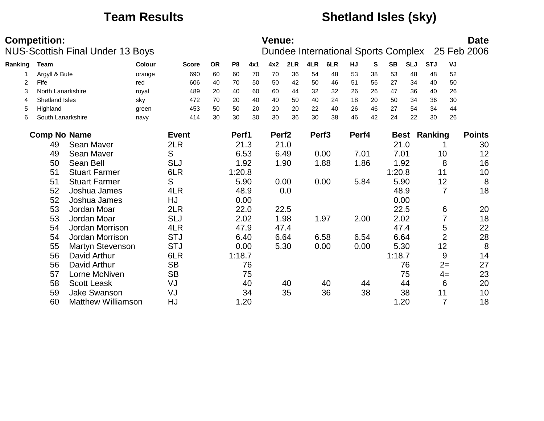## **Team Results Shetland Isles (sky)**

|         | <b>Competition:</b> | <b>NUS-Scottish Final Under 13 Boys</b> |               |              |           |                |     | <b>Venue:</b>     |      |                   | Dundee International Sports Complex |       |    |           |            |                     |                | <b>Date</b><br>25 Feb 2006 |
|---------|---------------------|-----------------------------------------|---------------|--------------|-----------|----------------|-----|-------------------|------|-------------------|-------------------------------------|-------|----|-----------|------------|---------------------|----------------|----------------------------|
| Ranking | Team                |                                         | <b>Colour</b> | <b>Score</b> | <b>OR</b> | P <sub>8</sub> | 4x1 | 4x2               | 2LR  | 4LR               | 6LR                                 | HJ    | S  | <b>SB</b> | <b>SLJ</b> | <b>STJ</b>          | VJ             |                            |
|         | Argyll & Bute       |                                         | orange        | 690          | 60        | 60             | 70  | 70                | 36   | 54                | 48                                  | 53    | 38 | 53        | 48         | 48                  | 52             |                            |
| 2       | Fife                |                                         | red           | 606          | 40        | 70             | 50  | 50                | 42   | 50                | 46                                  | 51    | 56 | 27        | 34         | 40                  | 50             |                            |
| 3       | North Lanarkshire   |                                         | royal         | 489          | 20        | 40             | 60  | 60                | 44   | 32                | 32                                  | 26    | 26 | 47        | 36         | 40                  | 26             |                            |
| 4       | Shetland Isles      |                                         | sky           | 472          | 70        | 20             | 40  | 40                | 50   | 40                | 24                                  | 18    | 20 | 50        | 34         | 36                  | 30             |                            |
| 5       | Highland            |                                         | green         | 453          | 50        | 50             | 20  | 20                | 20   | 22                | 40                                  | 26    | 46 | 27        | 54         | 34                  | 44             |                            |
| 6       | South Lanarkshire   |                                         | navy          | 414          | 30        | 30             | 30  | 30                | 36   | 30                | 38                                  | 46    | 42 | 24        | 22         | 30                  | 26             |                            |
|         | <b>Comp No Name</b> |                                         |               | <b>Event</b> |           | Perf1          |     | Perf <sub>2</sub> |      | Perf <sub>3</sub> |                                     | Perf4 |    |           |            | <b>Best Ranking</b> |                | <b>Points</b>              |
|         | 49                  | Sean Maver                              |               | 2LR          |           | 21.3           |     |                   | 21.0 |                   |                                     |       |    | 21.0      |            |                     |                | 30                         |
|         | 49                  | Sean Maver                              |               | S            |           | 6.53           |     |                   | 6.49 |                   | 0.00                                | 7.01  |    | 7.01      |            | 10                  |                | 12                         |
|         | 50                  | Sean Bell                               |               | <b>SLJ</b>   |           | 1.92           |     |                   | 1.90 |                   | 1.88                                | 1.86  |    |           | 1.92       |                     | 8              | 16                         |
|         | 51                  | <b>Stuart Farmer</b>                    |               | 6LR          |           | 1:20.8         |     |                   |      |                   |                                     |       |    | 1:20.8    |            | 11                  |                | 10                         |
|         | 51                  | <b>Stuart Farmer</b>                    |               | S            |           | 5.90           |     |                   | 0.00 |                   | 0.00                                | 5.84  |    |           | 5.90       | 12                  |                | 8                          |
|         | 52                  | Joshua James                            |               | 4LR          |           | 48.9           |     |                   | 0.0  |                   |                                     |       |    | 48.9      |            |                     | $\overline{7}$ | 18                         |
|         | 52                  | Joshua James                            |               | HJ           |           | 0.00           |     |                   |      |                   |                                     |       |    | 0.00      |            |                     |                |                            |
|         | 53                  | Jordan Moar                             |               | 2LR          |           | 22.0           |     |                   | 22.5 |                   |                                     |       |    |           | 22.5       |                     | 6              | 20                         |
|         | 53                  | Jordan Moar                             |               | <b>SLJ</b>   |           | 2.02           |     |                   | 1.98 |                   | 1.97                                | 2.00  |    |           | 2.02       |                     | 7              | 18                         |
|         | 54                  | Jordan Morrison                         |               | 4LR          |           | 47.9           |     |                   | 47.4 |                   |                                     |       |    | 47.4      |            |                     | 5              | 22                         |
|         | 54                  | Jordan Morrison                         |               | <b>STJ</b>   |           | 6.40           |     |                   | 6.64 |                   | 6.58                                | 6.54  |    | 6.64      |            |                     | $\overline{2}$ | 28                         |
|         | 55                  | Martyn Stevenson                        |               | <b>STJ</b>   |           | 0.00           |     |                   | 5.30 |                   | 0.00                                | 0.00  |    |           | 5.30       | 12                  |                | 8                          |
|         | 56                  | David Arthur                            |               | 6LR          |           | 1:18.7         |     |                   |      |                   |                                     |       |    | 1:18.7    |            |                     | 9              | 14                         |
|         | 56                  | David Arthur                            |               | <b>SB</b>    |           |                | 76  |                   |      |                   |                                     |       |    |           | 76         |                     | $2=$           | 27                         |
|         | 57                  | Lorne McNiven                           |               | <b>SB</b>    |           |                | 75  |                   |      |                   |                                     |       |    |           | 75         |                     | $4=$           | 23                         |
|         | 58                  | <b>Scott Leask</b>                      |               | VJ           |           |                | 40  |                   | 40   |                   | 40                                  |       | 44 |           | 44         |                     | 6              | 20                         |
|         | 59                  | <b>Jake Swanson</b>                     |               | VJ           |           |                | 34  |                   | 35   |                   | 36                                  |       | 38 |           | 38         | 11                  |                | 10                         |
|         | 60                  | <b>Matthew Williamson</b>               |               | HJ           |           | 1.20           |     |                   |      |                   |                                     |       |    |           | 1.20       |                     | $\overline{7}$ | 18                         |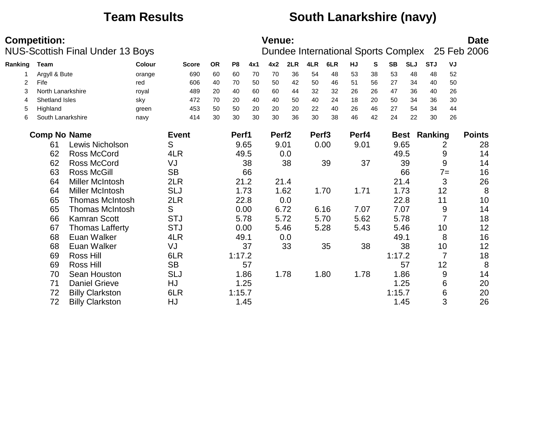## **Team Results South Lanarkshire (navy)**

|         | <b>Competition:</b> | <b>NUS-Scottish Final Under 13 Boys</b> |        |              |    |                |      | <b>Venue:</b>     |      |                   | Dundee International Sports Complex |       |    |             |            |                |                | <b>Date</b><br>25 Feb 2006 |
|---------|---------------------|-----------------------------------------|--------|--------------|----|----------------|------|-------------------|------|-------------------|-------------------------------------|-------|----|-------------|------------|----------------|----------------|----------------------------|
| Ranking | Team                |                                         | Colour | <b>Score</b> | OR | P <sub>8</sub> | 4x1  | 4x2               | 2LR  | 4LR               | 6LR                                 | HJ    | S  | <b>SB</b>   | <b>SLJ</b> | <b>STJ</b>     | VJ             |                            |
|         | Argyll & Bute       |                                         | orange | 690          | 60 | 60             | 70   | 70                | 36   | 54                | 48                                  | 53    | 38 | 53          | 48         | 48             | 52             |                            |
| 2       | Fife                |                                         | red    | 606          | 40 | 70             | 50   | 50                | 42   | 50                | 46                                  | 51    | 56 | 27          | 34         | 40             | 50             |                            |
| 3       | North Lanarkshire   |                                         | royal  | 489          | 20 | 40             | 60   | 60                | 44   | 32                | 32                                  | 26    | 26 | 47          | 36         | 40             | 26             |                            |
| 4       | Shetland Isles      |                                         | sky    | 472          | 70 | 20             | 40   | 40                | 50   | 40                | 24                                  | 18    | 20 | 50          | 34         | 36             | 30             |                            |
| 5       | Highland            |                                         | green  | 453          | 50 | 50             | 20   | 20                | 20   | 22                | 40                                  | 26    | 46 | 27          | 54         | 34             | 44             |                            |
| 6       | South Lanarkshire   |                                         | navy   | 414          | 30 | 30             | 30   | 30                | 36   | 30                | 38                                  | 46    | 42 | 24          | 22         | 30             | 26             |                            |
|         | <b>Comp No Name</b> |                                         |        | <b>Event</b> |    | Perf1          |      | Perf <sub>2</sub> |      | Perf <sub>3</sub> |                                     | Perf4 |    | <b>Best</b> |            | <b>Ranking</b> |                | <b>Points</b>              |
|         | 61                  | Lewis Nicholson                         |        | S            |    | 9.65           |      | 9.01              |      |                   | 0.00                                | 9.01  |    | 9.65        |            |                | 2              | 28                         |
|         | 62                  | <b>Ross McCord</b>                      |        | 4LR          |    |                | 49.5 |                   | 0.0  |                   |                                     |       |    | 49.5        |            |                | 9              | 14                         |
|         | 62                  | Ross McCord                             |        | VJ           |    |                | 38   |                   | 38   |                   | 39                                  |       | 37 |             | 39         |                | 9              | 14                         |
|         | 63                  | <b>Ross McGill</b>                      |        | <b>SB</b>    |    |                | 66   |                   |      |                   |                                     |       |    |             | 66         |                | $7 =$          | 16                         |
|         | 64                  | <b>Miller McIntosh</b>                  |        | 2LR          |    |                | 21.2 |                   | 21.4 |                   |                                     |       |    | 21.4        |            |                | 3              | 26                         |
|         | 64                  | <b>Miller McIntosh</b>                  |        | <b>SLJ</b>   |    |                | 1.73 |                   | 1.62 |                   | 1.70                                | 1.71  |    |             | 1.73       |                | 12             | 8                          |
|         | 65                  | <b>Thomas McIntosh</b>                  |        | 2LR          |    |                | 22.8 |                   | 0.0  |                   |                                     |       |    | 22.8        |            | 11             |                | 10                         |
|         | 65                  | <b>Thomas McIntosh</b>                  |        | S            |    |                | 0.00 |                   | 6.72 |                   | 6.16                                | 7.07  |    | 7.07        |            |                | 9              | 14                         |
|         | 66                  | Kamran Scott                            |        | <b>STJ</b>   |    |                | 5.78 |                   | 5.72 |                   | 5.70                                | 5.62  |    | 5.78        |            |                | 7              | 18                         |
|         | 67                  | <b>Thomas Lafferty</b>                  |        | <b>STJ</b>   |    | 0.00           |      |                   | 5.46 |                   | 5.28                                | 5.43  |    | 5.46        |            |                | 10             | 12                         |
|         | 68                  | Euan Walker                             |        | 4LR          |    | 49.1           |      |                   | 0.0  |                   |                                     |       |    | 49.1        |            |                | 8              | 16                         |
|         | 68                  | Euan Walker                             |        | VJ           |    |                | 37   |                   | 33   |                   | 35                                  |       | 38 |             | 38         |                | 10             | 12                         |
|         | 69                  | <b>Ross Hill</b>                        |        | 6LR          |    | 1:17.2         |      |                   |      |                   |                                     |       |    | 1:17.2      |            |                | $\overline{7}$ | 18                         |
|         | 69                  | <b>Ross Hill</b>                        |        | <b>SB</b>    |    |                | 57   |                   |      |                   |                                     |       |    |             | 57         |                | 12             | 8                          |
|         | 70                  | Sean Houston                            |        | <b>SLJ</b>   |    |                | 1.86 |                   | 1.78 |                   | 1.80                                | 1.78  |    |             | 1.86       |                | 9              | 14                         |
|         | 71                  | <b>Daniel Grieve</b>                    |        | HJ           |    | 1.25           |      |                   |      |                   |                                     |       |    |             | 1.25       |                | 6              | 20                         |
|         | 72                  | <b>Billy Clarkston</b>                  |        | 6LR          |    | 1:15.7         |      |                   |      |                   |                                     |       |    | 1:15.7      |            |                | 6              | 20                         |
|         | 72                  | <b>Billy Clarkston</b>                  |        | HJ           |    |                | 1.45 |                   |      |                   |                                     |       |    |             | 1.45       |                | 3              | 26                         |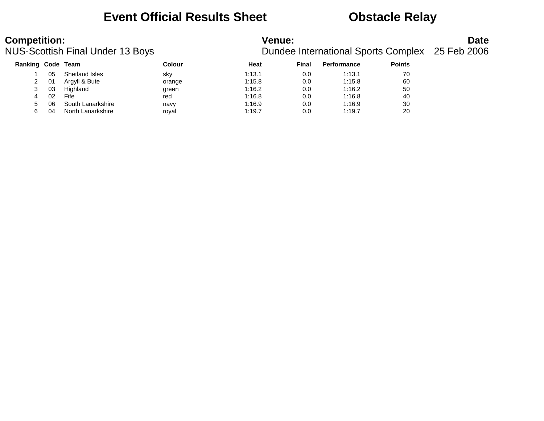### **Event Official Results Sheet Obstacle Relay**

### **Competition:**<br>**Date**<br>Dundee International Sports Complex 25 Feb 2006<br>Dundee International Sports Complex 25 Feb 2006 Dundee International Sports Complex 25 Feb 2006

| <b>Ranking Code Team</b> |    |                   | Colour | Heat   | Final | <b>Performance</b> | <b>Points</b> |
|--------------------------|----|-------------------|--------|--------|-------|--------------------|---------------|
|                          | 05 | Shetland Isles    | sky    | 1:13.1 | 0.0   | 1:13.1             | 70            |
|                          | 01 | Argyll & Bute     | orange | 1:15.8 | 0.0   | 1:15.8             | 60            |
| 3                        | 03 | Highland          | green  | 1:16.2 | 0.0   | 1:16.2             | 50            |
| 4                        | 02 | Fife              | red    | 1:16.8 | 0.0   | 1:16.8             | 40            |
| $5 -$                    | 06 | South Lanarkshire | navy   | 1:16.9 | 0.0   | 1:16.9             | 30            |
| 6                        | 04 | North Lanarkshire | roval  | 1:19.7 | 0.0   | 1:19.7             | 20            |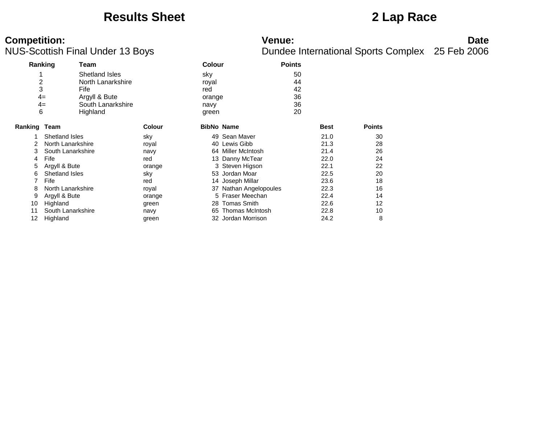### **Results Sheet 2 Lap Race**

# **Competition:**<br>**Date**<br>Dundee International Sports Complex 25 Feb 2006<br>Dundee International Sports Complex 25 Feb 2006

|                     | Ranking               | Team              |               | <b>Colour</b> |                        | <b>Points</b> |             |               |
|---------------------|-----------------------|-------------------|---------------|---------------|------------------------|---------------|-------------|---------------|
|                     |                       | Shetland Isles    |               | sky           |                        | 50            |             |               |
| $\overline{2}$      |                       | North Lanarkshire |               | royal         |                        | 44            |             |               |
| 3                   |                       | Fife              |               | red           |                        | 42            |             |               |
|                     | $4=$                  | Argyll & Bute     |               | orange        |                        | 36            |             |               |
|                     | $4=$                  | South Lanarkshire |               | navy          |                        | 36            |             |               |
| 6                   |                       | Highland          |               | green         |                        | 20            |             |               |
| <b>Ranking Team</b> |                       |                   | <b>Colour</b> |               | <b>BibNo Name</b>      |               | <b>Best</b> | <b>Points</b> |
|                     | <b>Shetland Isles</b> |                   | sky           |               | 49 Sean Maver          |               | 21.0        | 30            |
| 2                   | North Lanarkshire     |                   | royal         |               | 40 Lewis Gibb          |               | 21.3        | 28            |
| 3                   | South Lanarkshire     |                   | navy          |               | 64 Miller McIntosh     |               | 21.4        | 26            |
| 4                   | Fife                  |                   | red           |               | 13 Danny McTear        |               | 22.0        | 24            |
| 5                   | Argyll & Bute         |                   | orange        |               | 3 Steven Higson        |               | 22.1        | 22            |
| 6                   | <b>Shetland Isles</b> |                   | sky           |               | 53 Jordan Moar         |               | 22.5        | 20            |
|                     | Fife                  |                   | red           |               | 14 Joseph Millar       |               | 23.6        | 18            |
| 8                   | North Lanarkshire     |                   | royal         |               | 37 Nathan Angelopoules |               | 22.3        | 16            |
| 9                   | Argyll & Bute         |                   | orange        |               | 5 Fraser Meechan       |               | 22.4        | 14            |
| 10                  | Highland              |                   | green         | 28            | Tomas Smith            |               | 22.6        | 12            |
| 11                  | South Lanarkshire     |                   | navy          | 65            | <b>Thomas McIntosh</b> |               | 22.8        | 10            |
| 12                  | Highland              |                   | green         |               | 32 Jordan Morrison     |               | 24.2        | 8             |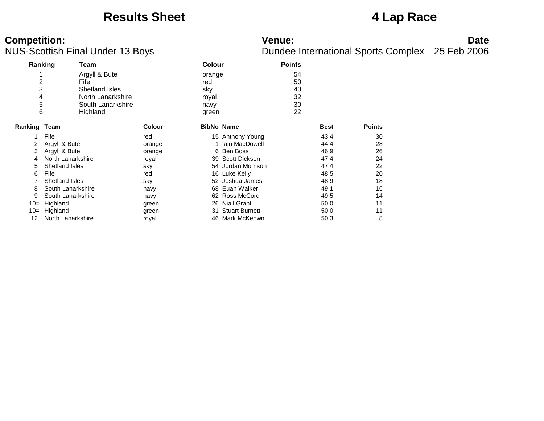### **Results Sheet 4 Lap Race**

# **Competition:**<br>**Date**<br>Dundee International Sports Complex 25 Feb 2006<br>Dundee International Sports Complex 25 Feb 2006

| Ranking        |                   | Team              |               | <b>Colour</b>     |                       | <b>Points</b> |             |               |
|----------------|-------------------|-------------------|---------------|-------------------|-----------------------|---------------|-------------|---------------|
| 4              |                   | Argyll & Bute     |               | orange            |                       | 54            |             |               |
| $\overline{c}$ |                   | Fife              |               | red               |                       | 50            |             |               |
| 3              |                   | Shetland Isles    |               | sky               |                       | 40            |             |               |
| 4              |                   | North Lanarkshire |               | royal             |                       | 32            |             |               |
| 5              |                   | South Lanarkshire |               | navy              |                       | 30            |             |               |
| 6              |                   | Highland          |               | green             |                       | 22            |             |               |
| Ranking Team   |                   |                   | <b>Colour</b> | <b>BibNo Name</b> |                       |               | <b>Best</b> | <b>Points</b> |
|                | Fife              |                   | red           |                   | 15 Anthony Young      |               | 43.4        | 30            |
|                | Argyll & Bute     |                   | orange        |                   | 1 Iain MacDowell      |               | 44.4        | 28            |
| 3              | Argyll & Bute     |                   | orange        |                   | 6 Ben Boss            |               | 46.9        | 26            |
| 4              | North Lanarkshire |                   | royal         |                   | 39 Scott Dickson      |               | 47.4        | 24            |
| 5              | Shetland Isles    |                   | sky           |                   | 54 Jordan Morrison    |               | 47.4        | 22            |
| 6              | Fife              |                   | red           |                   | 16 Luke Kelly         |               | 48.5        | 20            |
|                | Shetland Isles    |                   | sky           |                   | 52 Joshua James       |               | 48.9        | 18            |
| 8              | South Lanarkshire |                   | navy          |                   | 68 Euan Walker        |               | 49.1        | 16            |
| 9              | South Lanarkshire |                   | navy          |                   | 62 Ross McCord        |               | 49.5        | 14            |
| $10=$          | Highland          |                   | green         | 26                | <b>Niall Grant</b>    |               | 50.0        | 11            |
| $10=$          | Highland          |                   | green         | 31                | <b>Stuart Burnett</b> |               | 50.0        | 11            |
| 12             | North Lanarkshire |                   | roval         |                   | 46 Mark McKeown       |               | 50.3        | 8             |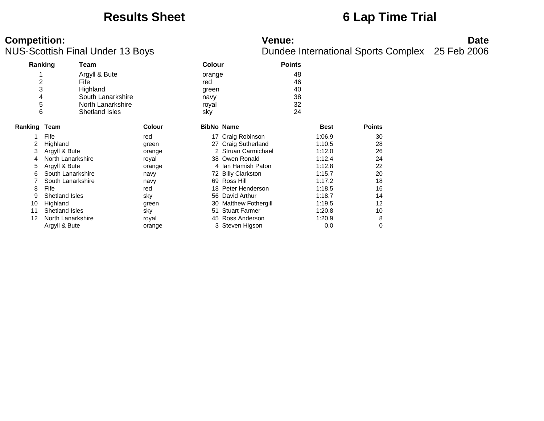### **Results Sheet 6 Lap Time Trial**

# **Competition:**<br>**Date**<br>Dundee International Sports Complex 25 Feb 2006<br>Dundee International Sports Complex 25 Feb 2006

|                                         | Ranking               | Team                                                                                          |               | <b>Colour</b>                                  |                        | <b>Points</b>                    |             |               |
|-----------------------------------------|-----------------------|-----------------------------------------------------------------------------------------------|---------------|------------------------------------------------|------------------------|----------------------------------|-------------|---------------|
| 1<br>$\overline{c}$<br>3<br>4<br>5<br>6 |                       | Argyll & Bute<br>Fife<br>Highland<br>South Lanarkshire<br>North Lanarkshire<br>Shetland Isles |               | orange<br>red<br>green<br>navy<br>royal<br>sky |                        | 48<br>46<br>40<br>38<br>32<br>24 |             |               |
| Ranking Team                            |                       |                                                                                               | <b>Colour</b> | <b>BibNo Name</b>                              |                        |                                  | <b>Best</b> | <b>Points</b> |
|                                         | Fife                  |                                                                                               | red           |                                                | 17 Craig Robinson      |                                  | 1:06.9      | 30            |
| 2                                       | Highland              |                                                                                               | green         |                                                | 27 Craig Sutherland    |                                  | 1:10.5      | 28            |
| 3                                       | Argyll & Bute         |                                                                                               | orange        |                                                | 2 Struan Carmichael    |                                  | 1:12.0      | 26            |
| 4                                       | North Lanarkshire     |                                                                                               | royal         |                                                | 38 Owen Ronald         |                                  | 1:12.4      | 24            |
| 5                                       | Argyll & Bute         |                                                                                               | orange        |                                                | 4 Ian Hamish Paton     |                                  | 1:12.8      | 22            |
| 6                                       | South Lanarkshire     |                                                                                               | navy          | 72.                                            | <b>Billy Clarkston</b> |                                  | 1:15.7      | 20            |
|                                         | South Lanarkshire     |                                                                                               | navy          |                                                | 69 Ross Hill           |                                  | 1:17.2      | 18            |
| 8                                       | Fife                  |                                                                                               | red           | 18.                                            | Peter Henderson        |                                  | 1:18.5      | 16            |
| 9                                       | <b>Shetland Isles</b> |                                                                                               | sky           | 56                                             | David Arthur           |                                  | 1:18.7      | 14            |
| 10                                      | Highland              |                                                                                               | green         |                                                | 30 Matthew Fothergill  |                                  | 1:19.5      | 12            |
| 11                                      | <b>Shetland Isles</b> |                                                                                               | sky           | 51                                             | <b>Stuart Farmer</b>   |                                  | 1:20.8      | 10            |
| 12                                      | North Lanarkshire     |                                                                                               | royal         | 45                                             | Ross Anderson          |                                  | 1:20.9      | 8             |
|                                         | Argyll & Bute         |                                                                                               | orange        |                                                | 3 Steven Higson        |                                  | 0.0         | 0             |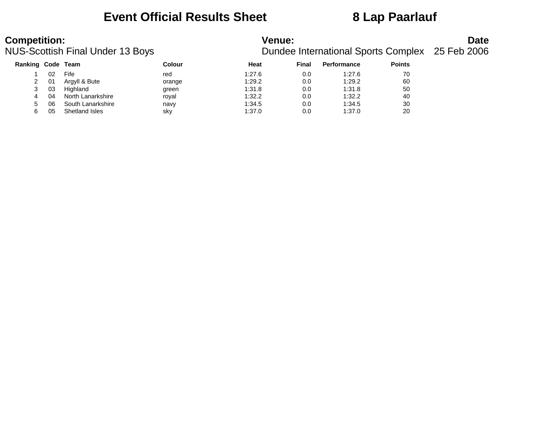### **Event Official Results Sheet 8 Lap Paarlauf**

| <b>Competition:</b> |    | <b>NUS-Scottish Final Under 13 Boys</b> |        | <b>Venue:</b> |       |                    |               | <b>Date</b><br>Dundee International Sports Complex 25 Feb 2006 |
|---------------------|----|-----------------------------------------|--------|---------------|-------|--------------------|---------------|----------------------------------------------------------------|
| Ranking Code Team   |    |                                         | Colour | Heat          | Final | <b>Performance</b> | <b>Points</b> |                                                                |
|                     | 02 | Fife                                    | red    | 1:27.6        | 0.0   | 1:27.6             | 70            |                                                                |
|                     | 01 | Argyll & Bute                           | orange | 1:29.2        | 0.0   | 1:29.2             | 60            |                                                                |
| 3                   | 03 | Highland                                | green  | 1:31.8        | 0.0   | 1:31.8             | 50            |                                                                |
| 4                   | 04 | North Lanarkshire                       | royal  | 1:32.2        | 0.0   | 1:32.2             | 40            |                                                                |
| 5                   | 06 | South Lanarkshire                       | navy   | 1:34.5        | 0.0   | 1:34.5             | 30            |                                                                |
| 6                   | 05 | Shetland Isles                          | sky    | 1:37.0        | 0.0   | 1:37.0             | 20            |                                                                |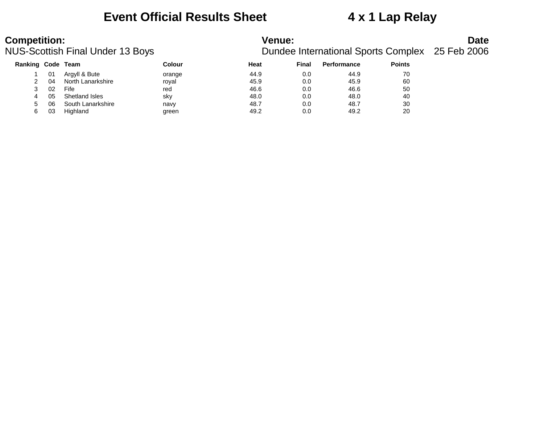### **Event Official Results Sheet 4 x 1 Lap Relay**

### **Competition:**<br>**Date**<br>Dundee International Sports Complex 25 Feb 2006<br>Dundee International Sports Complex 25 Feb 2006 Dundee International Sports Complex 25 Feb 2006

| Ranking Code Team |     |                   | Colour | <b>Heat</b> | Final | <b>Performance</b> | <b>Points</b> |
|-------------------|-----|-------------------|--------|-------------|-------|--------------------|---------------|
|                   | 01  | Argyll & Bute     | orange | 44.9        | 0.0   | 44.9               | 70            |
|                   | -04 | North Lanarkshire | roval  | 45.9        | 0.0   | 45.9               | 60            |
|                   | -02 | Fife              | red    | 46.6        | 0.0   | 46.6               | 50            |
|                   | 05  | Shetland Isles    | sky    | 48.0        | 0.0   | 48.0               | 40            |
| 5                 | 06  | South Lanarkshire | navy   | 48.7        | 0.0   | 48.7               | 30            |
| 6                 | 03  | Highland          | green  | 49.2        | 0.0   | 49.2               | 20            |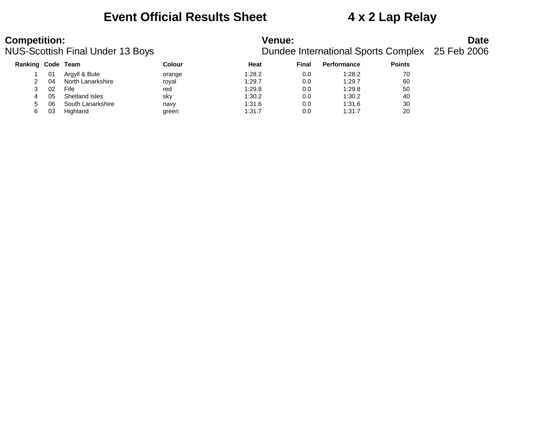### **Event Official Results Sheet 4 x 2 Lap Relay**

### **Competition:**<br>**Date**<br>Dundee International Sports Complex 25 Feb 2006<br>Dundee International Sports Complex 25 Feb 2006 Dundee International Sports Complex 25 Feb 2006

| Ranking Code Team |     |                   | Colour | Heat   | <b>Final</b> | <b>Performance</b> | <b>Points</b> |
|-------------------|-----|-------------------|--------|--------|--------------|--------------------|---------------|
|                   | 01  | Argyll & Bute     | orange | 1:28.2 | 0.0          | 1:28.2             | 70            |
|                   | 04  | North Lanarkshire | roval  | 1:29.7 | 0.0          | 1:29.7             | 60            |
|                   | -02 | Fife              | red    | 1:29.8 | 0.0          | 1:29.8             | 50            |
| 4                 | 05  | Shetland Isles    | sky    | 1:30.2 | 0.0          | 1:30.2             | 40            |
| 5                 | 06  | South Lanarkshire | navy   | 1:31.6 | 0.0          | 1:31.6             | 30            |
| 6                 | 03  | Highland          | green  | 1:31.7 | 0.0          | 1:31.7             | 20            |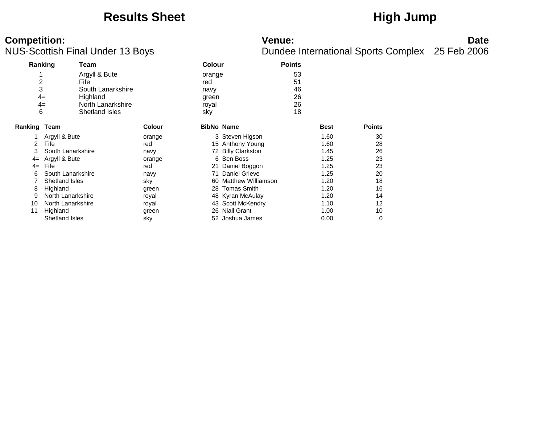### Results Sheet **High Jump**

# **Competition:**<br>**Date**<br>Dundee International Sports Complex 25 Feb 2006<br>Dundee International Sports Complex 25 Feb 2006

| Ranking             |                       | Team              |               |                   | <b>Colour</b>         |    |             |               |  |
|---------------------|-----------------------|-------------------|---------------|-------------------|-----------------------|----|-------------|---------------|--|
|                     |                       | Argyll & Bute     |               | orange            |                       | 53 |             |               |  |
| 2                   |                       | Fife              |               | red               |                       | 51 |             |               |  |
| 3                   |                       | South Lanarkshire |               | navy              |                       | 46 |             |               |  |
|                     | $4=$                  | Highland          |               | green             |                       | 26 |             |               |  |
|                     | $4=$                  | North Lanarkshire |               | royal             |                       | 26 |             |               |  |
| 6                   |                       | Shetland Isles    |               | sky               |                       | 18 |             |               |  |
| <b>Ranking Team</b> |                       |                   | <b>Colour</b> | <b>BibNo Name</b> |                       |    | <b>Best</b> | <b>Points</b> |  |
|                     | Argyll & Bute         |                   | orange        |                   | 3 Steven Higson       |    | 1.60        | 30            |  |
| 2                   | Fife                  |                   | red           |                   | 15 Anthony Young      |    | 1.60        | 28            |  |
| 3                   | South Lanarkshire     |                   | navy          |                   | 72 Billy Clarkston    |    | 1.45        | 26            |  |
| $4=$                | Argyll & Bute         |                   | orange        |                   | 6 Ben Boss            |    | 1.25        | 23            |  |
| $4=$                | Fife                  |                   | red           | 21                | Daniel Boggon         |    | 1.25        | 23            |  |
| 6                   | South Lanarkshire     |                   | navy          |                   | 71 Daniel Grieve      |    | 1.25        | 20            |  |
|                     | <b>Shetland Isles</b> |                   | sky           |                   | 60 Matthew Williamson |    | 1.20        | 18            |  |
| 8                   | Highland              |                   | green         |                   | 28 Tomas Smith        |    | 1.20        | 16            |  |
| 9                   | North Lanarkshire     |                   | royal         |                   | 48 Kyran McAulay      |    | 1.20        | 14            |  |
| 10                  | North Lanarkshire     |                   | royal         |                   | 43 Scott McKendry     |    | 1.10        | 12            |  |
| 11                  | Highland              |                   | green         |                   | 26 Niall Grant        |    | 1.00        | 10            |  |
|                     | <b>Shetland Isles</b> |                   | sky           |                   | 52 Joshua James       |    | 0.00        | 0             |  |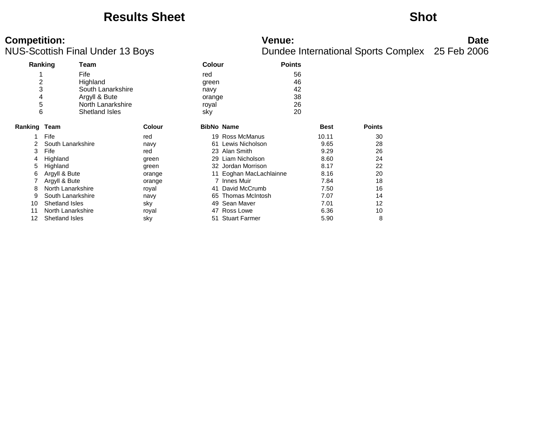### **Results Sheet Shot**

# **Competition:**<br>**Date**<br>Dundee International Sports Complex 25 Feb 2006<br>Dundee International Sports Complex 25 Feb 2006

| Ranking                 |                   | Team              |               |                   | <b>Colour</b><br><b>Points</b> |    |             |               |  |
|-------------------------|-------------------|-------------------|---------------|-------------------|--------------------------------|----|-------------|---------------|--|
| 1                       |                   | Fife              |               | red               |                                | 56 |             |               |  |
| $\overline{\mathbf{c}}$ |                   | Highland          |               | green             |                                | 46 |             |               |  |
| 3                       |                   | South Lanarkshire |               | navy              |                                | 42 |             |               |  |
| 4                       |                   | Argyll & Bute     |               | orange            |                                | 38 |             |               |  |
| 5                       |                   | North Lanarkshire |               | royal             |                                | 26 |             |               |  |
| 6                       |                   | Shetland Isles    |               | sky               |                                | 20 |             |               |  |
| Ranking Team            |                   |                   | <b>Colour</b> | <b>BibNo Name</b> |                                |    | <b>Best</b> | <b>Points</b> |  |
|                         | Fife              |                   | red           |                   | 19 Ross McManus                |    | 10.11       | 30            |  |
|                         | South Lanarkshire |                   | navy          | 61                | Lewis Nicholson                |    | 9.65        | 28            |  |
| 3                       | Fife              |                   | red           |                   | 23 Alan Smith                  |    | 9.29        | 26            |  |
| 4                       | Highland          |                   | green         |                   | 29 Liam Nicholson              |    | 8.60        | 24            |  |
| 5                       | Highland          |                   | green         |                   | 32 Jordan Morrison             |    | 8.17        | 22            |  |
| 6                       | Argyll & Bute     |                   | orange        | 11                | Eoghan MacLachlainne           |    | 8.16        | 20            |  |
|                         | Argyll & Bute     |                   | orange        |                   | 7 Innes Muir                   |    | 7.84        | 18            |  |
| 8                       | North Lanarkshire |                   | royal         | 41                | David McCrumb                  |    | 7.50        | 16            |  |
| 9                       | South Lanarkshire |                   | navy          | 65.               | <b>Thomas McIntosh</b>         |    | 7.07        | 14            |  |
| 10                      | Shetland Isles    |                   | sky           | 49                | Sean Maver                     |    | 7.01        | 12            |  |
| 11                      | North Lanarkshire |                   | royal         | 47                | Ross Lowe                      |    | 6.36        | 10            |  |
| 12                      | Shetland Isles    |                   | sky           | 51                | <b>Stuart Farmer</b>           |    | 5.90        | 8             |  |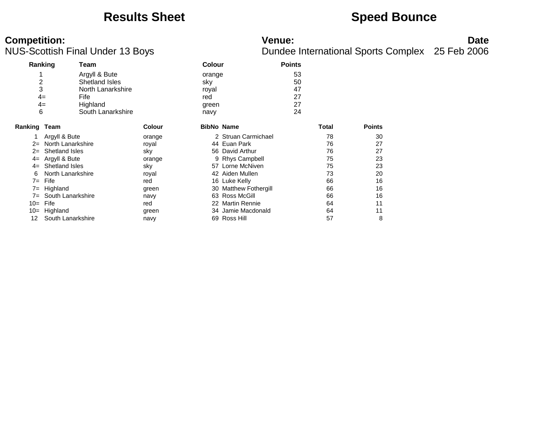### **Results Sheet Speed Bounce**

# **Competition:**<br>**Date**<br>Dundee International Sports Complex 25 Feb 2006<br>Dundee International Sports Complex 25 Feb 2006

| Ranking        |                       | Team              |               | <b>Colour</b>     |                       | <b>Points</b> |       |               |
|----------------|-----------------------|-------------------|---------------|-------------------|-----------------------|---------------|-------|---------------|
| 4              |                       | Argyll & Bute     |               | orange            |                       | 53            |       |               |
| $\overline{2}$ |                       | Shetland Isles    |               | sky               |                       | 50            |       |               |
| 3              |                       | North Lanarkshire |               | royal             |                       | 47            |       |               |
| $4=$           |                       | Fife              |               | red               |                       | 27            |       |               |
| 4=             |                       | Highland          |               | green             |                       | 27            |       |               |
| 6              |                       | South Lanarkshire |               | navy              |                       | 24            |       |               |
| Ranking Team   |                       |                   | <b>Colour</b> | <b>BibNo Name</b> |                       |               | Total | <b>Points</b> |
|                | Argyll & Bute         |                   | orange        |                   | 2 Struan Carmichael   |               | 78    | 30            |
| $2=$           | North Lanarkshire     |                   | royal         |                   | 44 Euan Park          |               | 76    | 27            |
| $2=$           | Shetland Isles        |                   | sky           |                   | 56 David Arthur       |               | 76    | 27            |
| $4=$           | Argyll & Bute         |                   | orange        |                   | 9 Rhys Campbell       |               | 75    | 23            |
| $4=$           | <b>Shetland Isles</b> |                   | sky           |                   | 57 Lorne McNiven      |               | 75    | 23            |
| 6              | North Lanarkshire     |                   | royal         |                   | 42 Aiden Mullen       |               | 73    | 20            |
| $7 =$          | Fife                  |                   | red           |                   | 16 Luke Kelly         |               | 66    | 16            |
| $7 =$          | Highland              |                   | green         |                   | 30 Matthew Fothergill |               | 66    | 16            |
| 7=             | South Lanarkshire     |                   | navy          |                   | 63 Ross McGill        |               | 66    | 16            |
| $10=$          | Fife                  |                   | red           |                   | 22 Martin Rennie      |               | 64    | 11            |
| $10=$          | Highland              |                   | green         |                   | 34 Jamie Macdonald    |               | 64    | 11            |
| 12             | South Lanarkshire     |                   | navy          |                   | 69 Ross Hill          |               | 57    | 8             |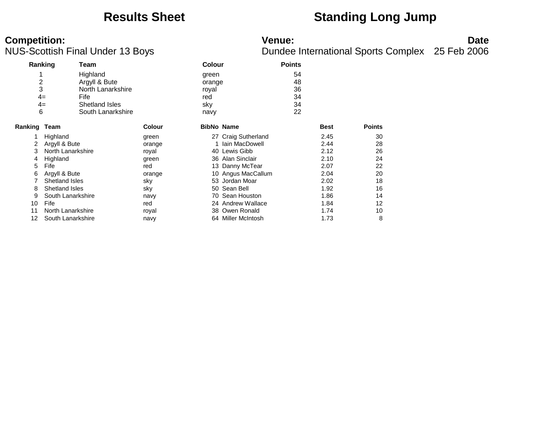### **Results Sheet Standing Long Jump**

# **Competition:**<br>**Date**<br>Dundee International Sports Complex 25 Feb 2006<br>Dundee International Sports Complex 25 Feb 2006

| Ranking        |                       | Team              |               | <b>Colour</b>     |                     | <b>Points</b> |             |               |
|----------------|-----------------------|-------------------|---------------|-------------------|---------------------|---------------|-------------|---------------|
|                |                       | Highland          |               | green             |                     | 54            |             |               |
| $\overline{c}$ |                       | Argyll & Bute     |               | orange            |                     | 48            |             |               |
| 3              |                       | North Lanarkshire |               | royal             |                     | 36            |             |               |
|                | $4=$                  | Fife              |               | red               |                     | 34            |             |               |
|                | $4=$                  | Shetland Isles    |               | sky               |                     | 34            |             |               |
| 6              |                       | South Lanarkshire |               | navy              |                     | 22            |             |               |
| Ranking Team   |                       |                   | <b>Colour</b> | <b>BibNo Name</b> |                     |               | <b>Best</b> | <b>Points</b> |
|                | Highland              |                   | green         |                   | 27 Craig Sutherland |               | 2.45        | 30            |
| 2              | Argyll & Bute         |                   | orange        |                   | Iain MacDowell      |               | 2.44        | 28            |
| 3              | North Lanarkshire     |                   | royal         |                   | 40 Lewis Gibb       |               | 2.12        | 26            |
| 4              | Highland              |                   | green         | 36                | Alan Sinclair       |               | 2.10        | 24            |
| 5              | Fife                  |                   | red           |                   | 13 Danny McTear     |               | 2.07        | 22            |
| 6              | Argyll & Bute         |                   | orange        |                   | 10 Angus MacCallum  |               | 2.04        | 20            |
|                | <b>Shetland Isles</b> |                   | sky           |                   | 53 Jordan Moar      |               | 2.02        | 18            |
| 8              | <b>Shetland Isles</b> |                   | sky           |                   | 50 Sean Bell        |               | 1.92        | 16            |
| 9              | South Lanarkshire     |                   | navy          | 70.               | Sean Houston        |               | 1.86        | 14            |
| 10             | Fife                  |                   | red           |                   | 24 Andrew Wallace   |               | 1.84        | 12            |
| 11             | North Lanarkshire     |                   | royal         | 38                | Owen Ronald         |               | 1.74        | 10            |
| 12             | South Lanarkshire     |                   | navy          |                   | 64 Miller McIntosh  |               | 1.73        | 8             |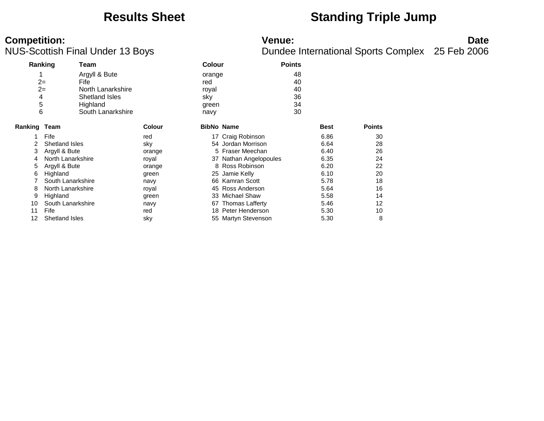### **Results Sheet Standing Triple Jump**

# **Competition:**<br>**Date**<br>Dundee International Sports Complex 25 Feb 2006<br>Dundee International Sports Complex 25 Feb 2006

| Ranking      |                       | Team              |               | <b>Colour</b>     |                        | <b>Points</b> |               |
|--------------|-----------------------|-------------------|---------------|-------------------|------------------------|---------------|---------------|
| 1            |                       | Argyll & Bute     |               | orange            |                        | 48            |               |
|              | $2=$                  | Fife              |               | red               |                        | 40            |               |
|              | $2=$                  | North Lanarkshire |               | royal             |                        | 40            |               |
| 4            |                       | Shetland Isles    |               | sky               |                        | 36            |               |
| 5            |                       | Highland          |               | green             |                        | 34            |               |
| 6            |                       | South Lanarkshire |               | navy              |                        | 30            |               |
| Ranking Team |                       |                   | <b>Colour</b> | <b>BibNo Name</b> |                        | <b>Best</b>   | <b>Points</b> |
|              | Fife                  |                   | red           |                   | 17 Craig Robinson      | 6.86          | 30            |
|              | Shetland Isles        |                   | sky           |                   | 54 Jordan Morrison     | 6.64          | 28            |
| 3            | Argyll & Bute         |                   | orange        |                   | 5 Fraser Meechan       | 6.40          | 26            |
| 4            | North Lanarkshire     |                   | royal         |                   | 37 Nathan Angelopoules | 6.35          | 24            |
| 5            | Argyll & Bute         |                   | orange        |                   | 8 Ross Robinson        | 6.20          | 22            |
| 6            | Highland              |                   | green         | 25                | Jamie Kelly            | 6.10          | 20            |
|              | South Lanarkshire     |                   | navy          |                   | 66 Kamran Scott        | 5.78          | 18            |
| 8            | North Lanarkshire     |                   | royal         |                   | 45 Ross Anderson       | 5.64          | 16            |
| 9            | Highland              |                   | green         |                   | 33 Michael Shaw        | 5.58          | 14            |
| 10           | South Lanarkshire     |                   | navy          | 67                | <b>Thomas Lafferty</b> | 5.46          | 12            |
| 11           | Fife                  |                   | red           |                   | 18 Peter Henderson     | 5.30          | 10            |
| 12           | <b>Shetland Isles</b> |                   | sky           |                   | 55 Martyn Stevenson    | 5.30          | 8             |